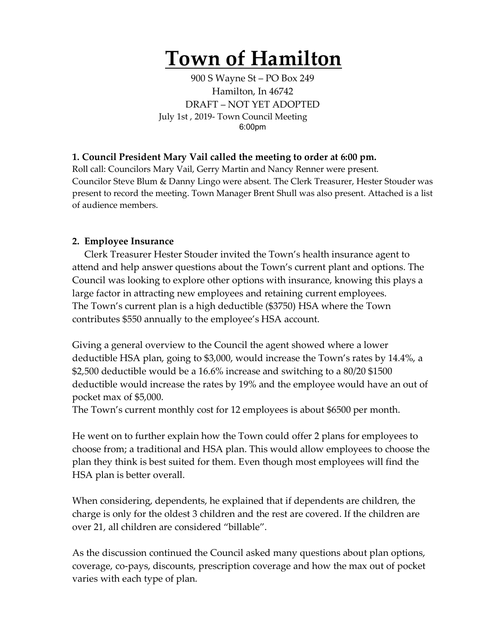## **Town of Hamilton**

900 S Wayne St – PO Box 249 Hamilton, In 46742 DRAFT – NOT YET ADOPTED July 1st , 2019- Town Council Meeting 6:00pm

## **1. Council President Mary Vail called the meeting to order at 6:00 pm.**

Roll call: Councilors Mary Vail, Gerry Martin and Nancy Renner were present. Councilor Steve Blum & Danny Lingo were absent. The Clerk Treasurer, Hester Stouder was present to record the meeting. Town Manager Brent Shull was also present. Attached is a list of audience members.

## **2. Employee Insurance**

Clerk Treasurer Hester Stouder invited the Town's health insurance agent to attend and help answer questions about the Town's current plant and options. The Council was looking to explore other options with insurance, knowing this plays a large factor in attracting new employees and retaining current employees. The Town's current plan is a high deductible (\$3750) HSA where the Town contributes \$550 annually to the employee's HSA account.

Giving a general overview to the Council the agent showed where a lower deductible HSA plan, going to \$3,000, would increase the Town's rates by 14.4%, a \$2,500 deductible would be a 16.6% increase and switching to a 80/20 \$1500 deductible would increase the rates by 19% and the employee would have an out of pocket max of \$5,000.

The Town's current monthly cost for 12 employees is about \$6500 per month.

He went on to further explain how the Town could offer 2 plans for employees to choose from; a traditional and HSA plan. This would allow employees to choose the plan they think is best suited for them. Even though most employees will find the HSA plan is better overall.

When considering, dependents, he explained that if dependents are children, the charge is only for the oldest 3 children and the rest are covered. If the children are over 21, all children are considered "billable".

As the discussion continued the Council asked many questions about plan options, coverage, co-pays, discounts, prescription coverage and how the max out of pocket varies with each type of plan.